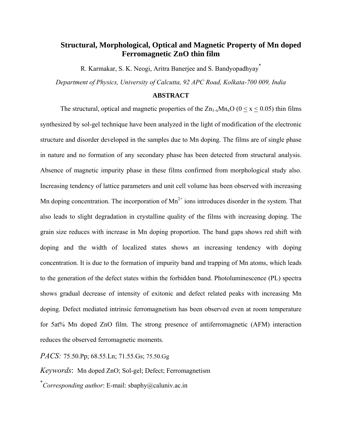# **Structural, Morphological, Optical and Magnetic Property of Mn doped Ferromagnetic ZnO thin film**

R. Karmakar, S. K. Neogi, Aritra Banerjee and S. Bandyopadhyay<sup>\*</sup>

*Department of Physics, University of Calcutta, 92 APC Road, Kolkata-700 009, India*

#### **ABSTRACT**

The structural, optical and magnetic properties of the  $Zn_{1-x}Mn_{x}O$  ( $0 \le x \le 0.05$ ) thin films synthesized by sol-gel technique have been analyzed in the light of modification of the electronic structure and disorder developed in the samples due to Mn doping. The films are of single phase in nature and no formation of any secondary phase has been detected from structural analysis. Absence of magnetic impurity phase in these films confirmed from morphological study also. Increasing tendency of lattice parameters and unit cell volume has been observed with increasing Mn doping concentration. The incorporation of  $Mn^{2+}$  ions introduces disorder in the system. That also leads to slight degradation in crystalline quality of the films with increasing doping. The grain size reduces with increase in Mn doping proportion. The band gaps shows red shift with doping and the width of localized states shows an increasing tendency with doping concentration. It is due to the formation of impurity band and trapping of Mn atoms, which leads to the generation of the defect states within the forbidden band. Photoluminescence (PL) spectra shows gradual decrease of intensity of exitonic and defect related peaks with increasing Mn doping. Defect mediated intrinsic ferromagnetism has been observed even at room temperature for 5at% Mn doped ZnO film. The strong presence of antiferromagnetic (AFM) interaction reduces the observed ferromagnetic moments.

*PACS:* 75.50.Pp; 68.55.Ln; 71.55.Gs; 75.50.Gg

*Keywords*: Mn doped ZnO; Sol-gel; Defect; Ferromagnetism

\* *Corresponding author*: E-mail: sbaphy@caluniv.ac.in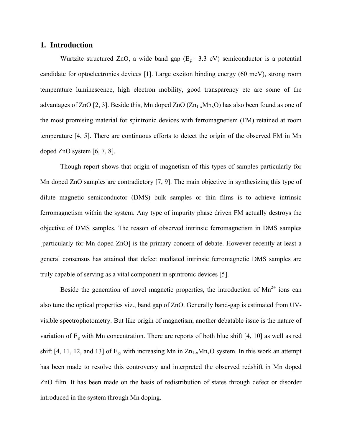# **1. Introduction**

Wurtzite structured ZnO, a wide band gap ( $E<sub>g</sub> = 3.3$  eV) semiconductor is a potential candidate for optoelectronics devices [1]. Large exciton binding energy (60 meV), strong room temperature luminescence, high electron mobility, good transparency etc are some of the advantages of ZnO [2, 3]. Beside this, Mn doped ZnO  $(Zn_{1-x}Mn_xO)$  has also been found as one of the most promising material for spintronic devices with ferromagnetism (FM) retained at room temperature [4, 5]. There are continuous efforts to detect the origin of the observed FM in Mn doped ZnO system [6, 7, 8].

Though report shows that origin of magnetism of this types of samples particularly for Mn doped ZnO samples are contradictory [7, 9]. The main objective in synthesizing this type of dilute magnetic semiconductor (DMS) bulk samples or thin films is to achieve intrinsic ferromagnetism within the system. Any type of impurity phase driven FM actually destroys the objective of DMS samples. The reason of observed intrinsic ferromagnetism in DMS samples [particularly for Mn doped ZnO] is the primary concern of debate. However recently at least a general consensus has attained that defect mediated intrinsic ferromagnetic DMS samples are truly capable of serving as a vital component in spintronic devices [5].

Beside the generation of novel magnetic properties, the introduction of  $Mn^{2+}$  ions can also tune the optical properties viz., band gap of ZnO. Generally band-gap is estimated from UVvisible spectrophotometry. But like origin of magnetism, another debatable issue is the nature of variation of  $E<sub>g</sub>$  with Mn concentration. There are reports of both blue shift [4, 10] as well as red shift [4, 11, 12, and 13] of  $E_g$ , with increasing Mn in  $Zn_{1-x}Mn_xO$  system. In this work an attempt has been made to resolve this controversy and interpreted the observed redshift in Mn doped ZnO film. It has been made on the basis of redistribution of states through defect or disorder introduced in the system through Mn doping.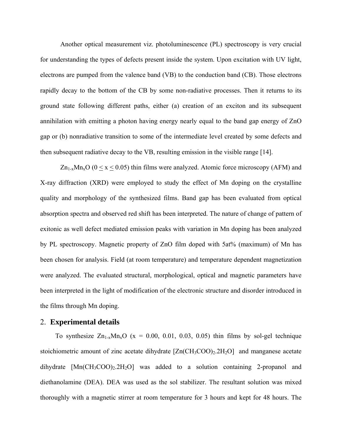Another optical measurement viz. photoluminescence (PL) spectroscopy is very crucial for understanding the types of defects present inside the system. Upon excitation with UV light, electrons are pumped from the valence band (VB) to the conduction band (CB). Those electrons rapidly decay to the bottom of the CB by some non-radiative processes. Then it returns to its ground state following different paths, either (a) creation of an exciton and its subsequent annihilation with emitting a photon having energy nearly equal to the band gap energy of ZnO gap or (b) nonradiative transition to some of the intermediate level created by some defects and then subsequent radiative decay to the VB, resulting emission in the visible range [14].

 $\text{Zn}_{1-x}\text{Mn}_x\text{O}$  (0 < x < 0.05) thin films were analyzed. Atomic force microscopy (AFM) and X-ray diffraction (XRD) were employed to study the effect of Mn doping on the crystalline quality and morphology of the synthesized films. Band gap has been evaluated from optical absorption spectra and observed red shift has been interpreted. The nature of change of pattern of exitonic as well defect mediated emission peaks with variation in Mn doping has been analyzed by PL spectroscopy. Magnetic property of ZnO film doped with 5at% (maximum) of Mn has been chosen for analysis. Field (at room temperature) and temperature dependent magnetization were analyzed. The evaluated structural, morphological, optical and magnetic parameters have been interpreted in the light of modification of the electronic structure and disorder introduced in the films through Mn doping.

### 2. **Experimental details**

To synthesize  $Zn_{1-x}Mn_{x}O$  (x = 0.00, 0.01, 0.03, 0.05) thin films by sol-gel technique stoichiometric amount of zinc acetate dihydrate  $[Zn(CH_3COO)_2.2H_2O]$  and manganese acetate dihydrate  $[Mn(CH_3COO)_2.2H_2O]$  was added to a solution containing 2-propanol and diethanolamine (DEA). DEA was used as the sol stabilizer. The resultant solution was mixed thoroughly with a magnetic stirrer at room temperature for 3 hours and kept for 48 hours. The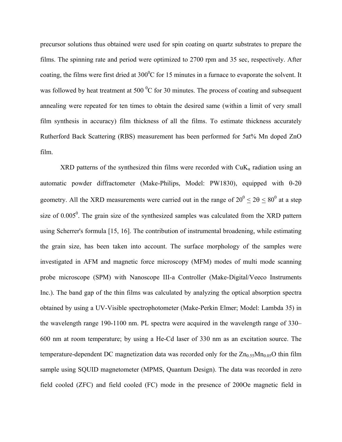precursor solutions thus obtained were used for spin coating on quartz substrates to prepare the films. The spinning rate and period were optimized to 2700 rpm and 35 sec, respectively. After coating, the films were first dried at  $300^{\circ}$ C for 15 minutes in a furnace to evaporate the solvent. It was followed by heat treatment at 500  $\rm{^0C}$  for 30 minutes. The process of coating and subsequent annealing were repeated for ten times to obtain the desired same (within a limit of very small film synthesis in accuracy) film thickness of all the films. To estimate thickness accurately Rutherford Back Scattering (RBS) measurement has been performed for 5at% Mn doped ZnO film.

XRD patterns of the synthesized thin films were recorded with  $CuK<sub>a</sub>$  radiation using an automatic powder diffractometer (Make-Philips, Model: PW1830), equipped with θ-2θ geometry. All the XRD measurements were carried out in the range of  $20^{\circ} \le 20 \le 80^{\circ}$  at a step size of  $0.005<sup>0</sup>$ . The grain size of the synthesized samples was calculated from the XRD pattern using Scherrer's formula [15, 16]. The contribution of instrumental broadening, while estimating the grain size, has been taken into account. The surface morphology of the samples were investigated in AFM and magnetic force microscopy (MFM) modes of multi mode scanning probe microscope (SPM) with Nanoscope III-a Controller (Make-Digital/Veeco Instruments Inc.). The band gap of the thin films was calculated by analyzing the optical absorption spectra obtained by using a UV-Visible spectrophotometer (Make-Perkin Elmer; Model: Lambda 35) in the wavelength range 190-1100 nm. PL spectra were acquired in the wavelength range of 330– 600 nm at room temperature; by using a He-Cd laser of 330 nm as an excitation source. The temperature-dependent DC magnetization data was recorded only for the  $Zn_{0.55}Mn_{0.05}O$  thin film sample using SQUID magnetometer (MPMS, Quantum Design). The data was recorded in zero field cooled (ZFC) and field cooled (FC) mode in the presence of 200Oe magnetic field in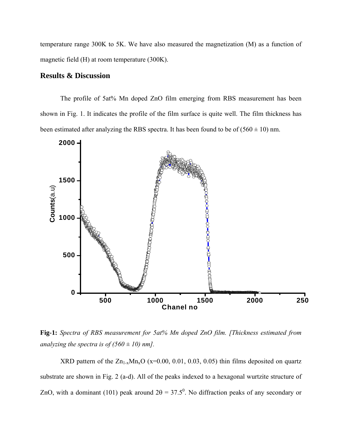temperature range 300K to 5K. We have also measured the magnetization (M) as a function of magnetic field (H) at room temperature (300K).

# **Results & Discussion**

The profile of 5at% Mn doped ZnO film emerging from RBS measurement has been shown in Fig. 1. It indicates the profile of the film surface is quite well. The film thickness has been estimated after analyzing the RBS spectra. It has been found to be of  $(560 \pm 10)$  nm.



**Fig-1:** *Spectra of RBS measurement for 5at% Mn doped ZnO film. [Thickness estimated from analyzing the spectra is of (560*  $\pm$  *10) nm].* 

XRD pattern of the  $\text{Zn}_{1-x}\text{Mn}_x\text{O}$  (x=0.00, 0.01, 0.03, 0.05) thin films deposited on quartz substrate are shown in Fig. 2 (a-d). All of the peaks indexed to a hexagonal wurtzite structure of ZnO, with a dominant (101) peak around  $2\theta = 37.5^{\circ}$ . No diffraction peaks of any secondary or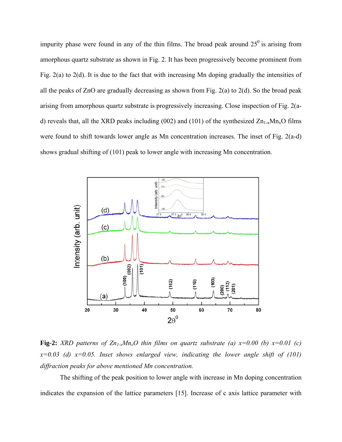impurity phase were found in any of the thin films. The broad peak around  $25^{\circ}$  is arising from amorphous quartz substrate as shown in Fig. 2. It has been progressively become prominent from Fig. 2(a) to 2(d). It is due to the fact that with increasing Mn doping gradually the intensities of all the peaks of ZnO are gradually decreasing as shown from Fig. 2(a) to 2(d). So the broad peak arising from amorphous quartz substrate is progressively increasing. Close inspection of Fig. 2(ad) reveals that, all the XRD peaks including (002) and (101) of the synthesized  $Zn_{1-x}Mn_{x}O$  films were found to shift towards lower angle as Mn concentration increases. The inset of Fig. 2(a-d) shows gradual shifting of (101) peak to lower angle with increasing Mn concentration.



**Fig-2:** *XRD patterns of*  $Zn_{1-x}Mn_xO$  *thin films on quartz substrate (a)*  $x=0.00$  *(b)*  $x=0.01$  *(c)*  $x=0.03$  (d)  $x=0.05$ . Inset shows enlarged view, indicating the lower angle shift of (101) *diffraction peaks for above mentioned Mn concentration.*

 The shifting of the peak position to lower angle with increase in Mn doping concentration indicates the expansion of the lattice parameters [15]. Increase of c axis lattice parameter with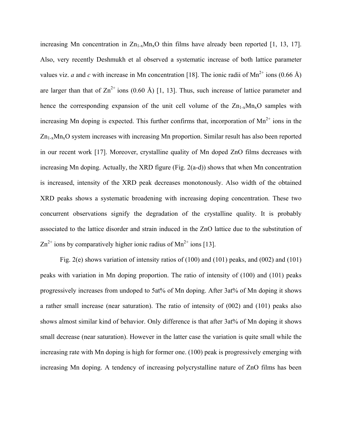increasing Mn concentration in  $Zn_{1-x}Mn_xO$  thin films have already been reported [1, 13, 17]. Also, very recently Deshmukh et al observed a systematic increase of both lattice parameter values viz. *a* and *c* with increase in Mn concentration [18]. The ionic radii of Mn<sup>2+</sup> ions (0.66 Å) are larger than that of  $\text{Zn}^{2+}$  ions (0.60 Å) [1, 13]. Thus, such increase of lattice parameter and hence the corresponding expansion of the unit cell volume of the  $Zn_{1-x}Mn_{x}O$  samples with increasing Mn doping is expected. This further confirms that, incorporation of  $Mn^{2+}$  ions in the  $Zn_{1-x}Mn_{x}O$  system increases with increasing Mn proportion. Similar result has also been reported in our recent work [17]. Moreover, crystalline quality of Mn doped ZnO films decreases with increasing Mn doping. Actually, the XRD figure (Fig. 2(a-d)) shows that when Mn concentration is increased, intensity of the XRD peak decreases monotonously. Also width of the obtained XRD peaks shows a systematic broadening with increasing doping concentration. These two concurrent observations signify the degradation of the crystalline quality. It is probably associated to the lattice disorder and strain induced in the ZnO lattice due to the substitution of  $\text{Zn}^{2+}$  ions by comparatively higher ionic radius of Mn<sup>2+</sup> ions [13].

 Fig. 2(e) shows variation of intensity ratios of (100) and (101) peaks, and (002) and (101) peaks with variation in Mn doping proportion. The ratio of intensity of (100) and (101) peaks progressively increases from undoped to 5at% of Mn doping. After 3at% of Mn doping it shows a rather small increase (near saturation). The ratio of intensity of (002) and (101) peaks also shows almost similar kind of behavior. Only difference is that after 3at% of Mn doping it shows small decrease (near saturation). However in the latter case the variation is quite small while the increasing rate with Mn doping is high for former one. (100) peak is progressively emerging with increasing Mn doping. A tendency of increasing polycrystalline nature of ZnO films has been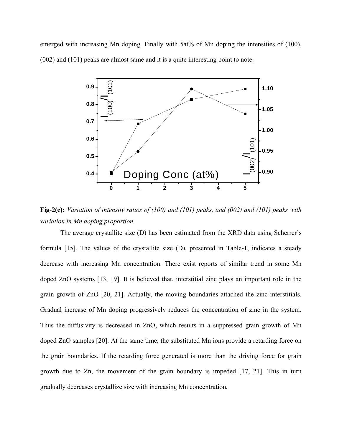emerged with increasing Mn doping. Finally with 5at% of Mn doping the intensities of (100), (002) and (101) peaks are almost same and it is a quite interesting point to note.



**Fig-2(e):** *Variation of intensity ratios of (100) and (101) peaks, and (002) and (101) peaks with variation in Mn doping proportion.* 

The average crystallite size (D) has been estimated from the XRD data using Scherrer's formula [15]. The values of the crystallite size (D), presented in Table-1, indicates a steady decrease with increasing Mn concentration. There exist reports of similar trend in some Mn doped ZnO systems [13, 19]. It is believed that, interstitial zinc plays an important role in the grain growth of ZnO [20, 21]. Actually, the moving boundaries attached the zinc interstitials. Gradual increase of Mn doping progressively reduces the concentration of zinc in the system. Thus the diffusivity is decreased in ZnO, which results in a suppressed grain growth of Mn doped ZnO samples [20]. At the same time, the substituted Mn ions provide a retarding force on the grain boundaries. If the retarding force generated is more than the driving force for grain growth due to Zn, the movement of the grain boundary is impeded [17, 21]. This in turn gradually decreases crystallize size with increasing Mn concentration*.*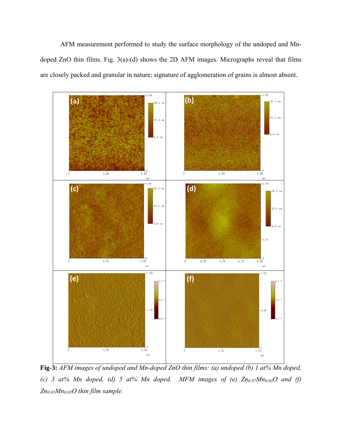AFM measurement performed to study the surface morphology of the undoped and Mndoped ZnO thin films. Fig. 3(a)-(d) shows the 2D AFM images. Micrographs reveal that films are closely packed and granular in nature; signature of agglomeration of grains is almost absent.



**Fig-3:** *AFM images of undoped and Mn-doped ZnO thin films: (a) undoped (b) 1 at% Mn doped,*  (c) 3 at% Mn doped, (d) 5 at% Mn doped. MFM images of (e)  $Zn_{0.97}Mn_{0.03}O$  and (f) *Zn0.95Mn0.05O thin film sample.*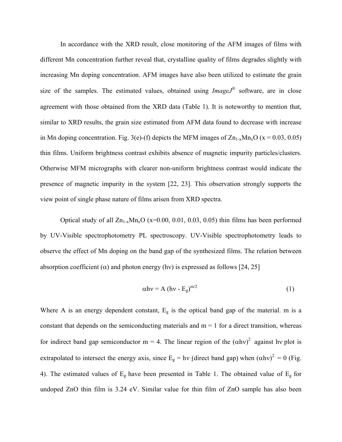In accordance with the XRD result, close monitoring of the AFM images of films with different Mn concentration further reveal that, crystalline quality of films degrades slightly with increasing Mn doping concentration. AFM images have also been utilized to estimate the grain size of the samples. The estimated values, obtained using *ImageJ*® software, are in close agreement with those obtained from the XRD data (Table 1). It is noteworthy to mention that, similar to XRD results, the grain size estimated from AFM data found to decrease with increase in Mn doping concentration. Fig. 3(e)-(f) depicts the MFM images of  $Zn_{1-x}Mn_{x}O$  (x = 0.03, 0.05) thin films. Uniform brightness contrast exhibits absence of magnetic impurity particles/clusters. Otherwise MFM micrographs with clearer non-uniform brightness contrast would indicate the presence of magnetic impurity in the system [22, 23]. This observation strongly supports the view point of single phase nature of films arisen from XRD spectra.

Optical study of all  $\text{Zn}_{1-x}\text{Mn}_x\text{O}$  (x=0.00, 0.01, 0.03, 0.05) thin films has been performed by UV-Visible spectrophotometry PL spectroscopy. UV-Visible spectrophotometry leads to observe the effect of Mn doping on the band gap of the synthesized films. The relation between absorption coefficient ( $\alpha$ ) and photon energy (hv) is expressed as follows [24, 25]

$$
\alpha h v = A (h v - E_g)^{m/2}
$$
 (1)

Where A is an energy dependent constant,  $E<sub>g</sub>$  is the optical band gap of the material. m is a constant that depends on the semiconducting materials and  $m = 1$  for a direct transition, whereas for indirect band gap semiconductor m = 4. The linear region of the  $( \alpha h v)^2$  against hv plot is extrapolated to intersect the energy axis, since  $E_g = hv$  (direct band gap) when  $(ahv)^2 = 0$  (Fig. 4). The estimated values of  $E<sub>g</sub>$  have been presented in Table 1. The obtained value of  $E<sub>g</sub>$  for undoped ZnO thin film is 3.24 eV. Similar value for thin film of ZnO sample has also been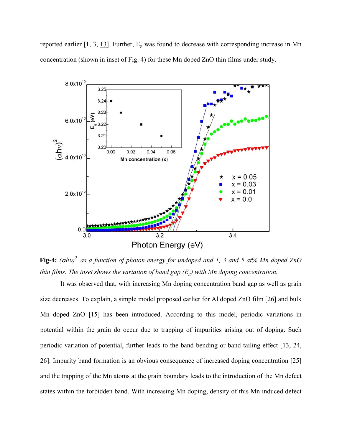reported earlier [1, 3, 13]. Further, Eg was found to decrease with corresponding increase in Mn concentration (shown in inset of Fig. 4) for these Mn doped ZnO thin films under study.



**Fig-4:** *(*α*h*ν*) 2 as a function of photon energy for undoped and 1, 3 and 5 at% Mn doped ZnO thin films. The inset shows the variation of band gap (Eg) with Mn doping concentration.* 

It was observed that, with increasing Mn doping concentration band gap as well as grain size decreases. To explain, a simple model proposed earlier for Al doped ZnO film [26] and bulk Mn doped ZnO [15] has been introduced. According to this model, periodic variations in potential within the grain do occur due to trapping of impurities arising out of doping. Such periodic variation of potential, further leads to the band bending or band tailing effect [13, 24, 26]. Impurity band formation is an obvious consequence of increased doping concentration [25] and the trapping of the Mn atoms at the grain boundary leads to the introduction of the Mn defect states within the forbidden band. With increasing Mn doping, density of this Mn induced defect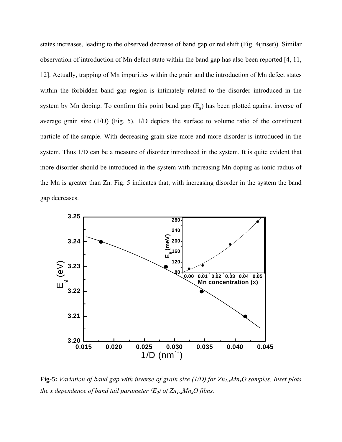states increases, leading to the observed decrease of band gap or red shift (Fig. 4(inset)). Similar observation of introduction of Mn defect state within the band gap has also been reported [4, 11, 12]. Actually, trapping of Mn impurities within the grain and the introduction of Mn defect states within the forbidden band gap region is intimately related to the disorder introduced in the system by Mn doping. To confirm this point band gap  $(E_{\varphi})$  has been plotted against inverse of average grain size (1/D) (Fig. 5). 1/D depicts the surface to volume ratio of the constituent particle of the sample. With decreasing grain size more and more disorder is introduced in the system. Thus 1/D can be a measure of disorder introduced in the system. It is quite evident that more disorder should be introduced in the system with increasing Mn doping as ionic radius of the Mn is greater than Zn. Fig. 5 indicates that, with increasing disorder in the system the band gap decreases.



**Fig-5:** *Variation of band gap with inverse of grain size (1/D) for Zn1-xMnxO samples. Inset plots the x dependence of band tail parameter (E<sub>0</sub>) of*  $Zn_{1-x}Mn_xO$  *films.*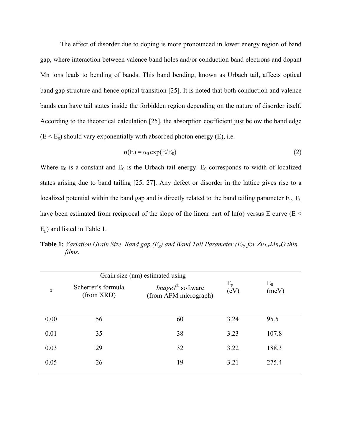The effect of disorder due to doping is more pronounced in lower energy region of band gap, where interaction between valence band holes and/or conduction band electrons and dopant Mn ions leads to bending of bands. This band bending, known as Urbach tail, affects optical band gap structure and hence optical transition [25]. It is noted that both conduction and valence bands can have tail states inside the forbidden region depending on the nature of disorder itself. According to the theoretical calculation [25], the absorption coefficient just below the band edge  $(E \le E_g)$  should vary exponentially with absorbed photon energy (E), i.e.

$$
\alpha(E) = \alpha_0 \exp(E/E_0) \tag{2}
$$

Where  $\alpha_0$  is a constant and  $E_0$  is the Urbach tail energy.  $E_0$  corresponds to width of localized states arising due to band tailing [25, 27]. Any defect or disorder in the lattice gives rise to a localized potential within the band gap and is directly related to the band tailing parameter  $E_0$ .  $E_0$ have been estimated from reciprocal of the slope of the linear part of  $ln(a)$  versus E curve (E <  $E_g$ ) and listed in Table 1.

**Table 1:** *Variation Grain Size, Band gap (E<sub>g</sub>) and Band Tail Parameter (E<sub>0</sub>) for*  $Zn_{1-x}Mn_xO$  *thin films.* 

|             | Grain size (nm) estimated using  |                                                              |                                  |                |
|-------------|----------------------------------|--------------------------------------------------------------|----------------------------------|----------------|
| $\mathbf X$ | Scherrer's formula<br>(from XRD) | <i>ImageJ</i> <sup>®</sup> software<br>(from AFM micrograph) | $E_{\rm g}$<br>$\overline{(eV)}$ | $E_0$<br>(meV) |
| 0.00        | 56                               | 60                                                           | 3.24                             | 95.5           |
| 0.01        | 35                               | 38                                                           | 3.23                             | 107.8          |
| 0.03        | 29                               | 32                                                           | 3.22                             | 188.3          |
| 0.05        | 26                               | 19                                                           | 3.21                             | 275.4          |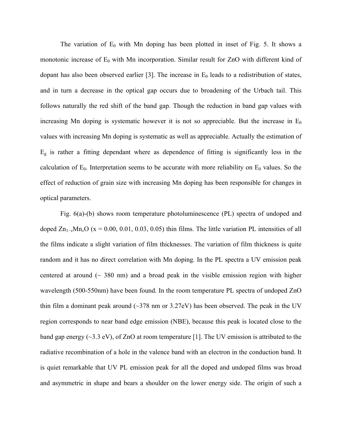The variation of  $E_0$  with Mn doping has been plotted in inset of Fig. 5. It shows a monotonic increase of  $E_0$  with Mn incorporation. Similar result for ZnO with different kind of dopant has also been observed earlier [3]. The increase in  $E_0$  leads to a redistribution of states, and in turn a decrease in the optical gap occurs due to broadening of the Urbach tail. This follows naturally the red shift of the band gap. Though the reduction in band gap values with increasing Mn doping is systematic however it is not so appreciable. But the increase in  $E_0$ values with increasing Mn doping is systematic as well as appreciable. Actually the estimation of  $E<sub>g</sub>$  is rather a fitting dependant where as dependence of fitting is significantly less in the calculation of  $E_0$ . Interpretation seems to be accurate with more reliability on  $E_0$  values. So the effect of reduction of grain size with increasing Mn doping has been responsible for changes in optical parameters.

Fig. 6(a)-(b) shows room temperature photoluminescence (PL) spectra of undoped and doped  $\text{Zn}_{1-x}\text{Mn}_x\text{O}$  (x = 0.00, 0.01, 0.03, 0.05) thin films. The little variation PL intensities of all the films indicate a slight variation of film thicknesses. The variation of film thickness is quite random and it has no direct correlation with Mn doping. In the PL spectra a UV emission peak centered at around  $\sim$  380 nm) and a broad peak in the visible emission region with higher wavelength (500-550nm) have been found. In the room temperature PL spectra of undoped ZnO thin film a dominant peak around  $(\sim]378$  nm or  $3.27$ eV) has been observed. The peak in the UV region corresponds to near band edge emission (NBE), because this peak is located close to the band gap energy ( $\sim$ 3.3 eV), of ZnO at room temperature [1]. The UV emission is attributed to the radiative recombination of a hole in the valence band with an electron in the conduction band. It is quiet remarkable that UV PL emission peak for all the doped and undoped films was broad and asymmetric in shape and bears a shoulder on the lower energy side. The origin of such a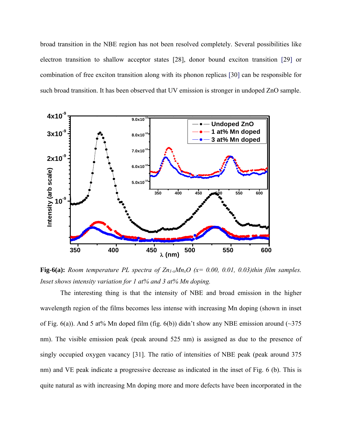broad transition in the NBE region has not been resolved completely. Several possibilities like electron transition to shallow acceptor states [28], donor bound exciton transition [29] or combination of free exciton transition along with its phonon replicas [30] can be responsible for such broad transition. It has been observed that UV emission is stronger in undoped ZnO sample.



**Fig-6(a):** *Room temperature PL spectra of*  $Zn_{1-x}Mn_xO$  *(x= 0.00, 0.01, 0.03)thin film samples. Inset shows intensity variation for 1 at% and 3 at% Mn doping.*

The interesting thing is that the intensity of NBE and broad emission in the higher wavelength region of the films becomes less intense with increasing Mn doping (shown in inset of Fig. 6(a)). And 5 at% Mn doped film (fig. 6(b)) didn't show any NBE emission around  $\sim$  375 nm). The visible emission peak (peak around 525 nm) is assigned as due to the presence of singly occupied oxygen vacancy [31]. The ratio of intensities of NBE peak (peak around 375 nm) and VE peak indicate a progressive decrease as indicated in the inset of Fig. 6 (b). This is quite natural as with increasing Mn doping more and more defects have been incorporated in the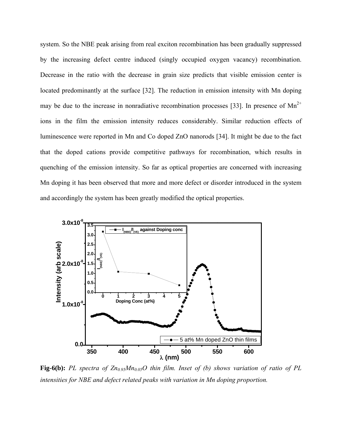system. So the NBE peak arising from real exciton recombination has been gradually suppressed by the increasing defect centre induced (singly occupied oxygen vacancy) recombination. Decrease in the ratio with the decrease in grain size predicts that visible emission center is located predominantly at the surface [32]. The reduction in emission intensity with Mn doping may be due to the increase in nonradiative recombination processes [33]. In presence of  $Mn^{2+}$ ions in the film the emission intensity reduces considerably. Similar reduction effects of luminescence were reported in Mn and Co doped ZnO nanorods [34]. It might be due to the fact that the doped cations provide competitive pathways for recombination, which results in quenching of the emission intensity. So far as optical properties are concerned with increasing Mn doping it has been observed that more and more defect or disorder introduced in the system and accordingly the system has been greatly modified the optical properties.



**Fig-6(b):** *PL spectra of Zn<sub>0.95</sub>Mn<sub>0.05</sub>O thin film. Inset of (b) shows variation of ratio of PL intensities for NBE and defect related peaks with variation in Mn doping proportion.*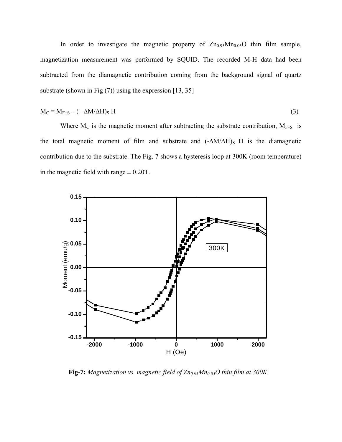In order to investigate the magnetic property of  $Zn_{0.95}Mn_{0.05}O$  thin film sample, magnetization measurement was performed by SQUID. The recorded M-H data had been subtracted from the diamagnetic contribution coming from the background signal of quartz substrate (shown in Fig  $(7)$ ) using the expression [13, 35]

$$
M_C = M_{F+S} - (-\Delta M/\Delta H)_{S} H
$$
\n(3)

Where  $M_C$  is the magnetic moment after subtracting the substrate contribution,  $M_{F+S}$  is the total magnetic moment of film and substrate and  $(-\Delta M/\Delta H)_{S}$  H is the diamagnetic contribution due to the substrate. The Fig. 7 shows a hysteresis loop at 300K (room temperature) in the magnetic field with range  $\pm$  0.20T.



**Fig-7:** *Magnetization vs. magnetic field of Zn0.95Mn0.05O thin film at 300K.*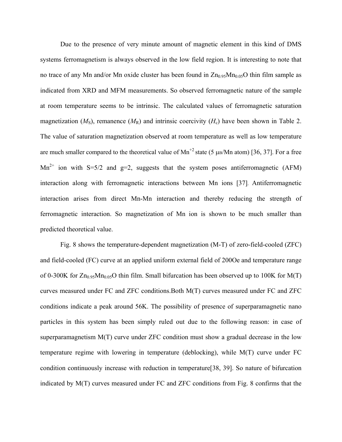Due to the presence of very minute amount of magnetic element in this kind of DMS systems ferromagnetism is always observed in the low field region. It is interesting to note that no trace of any Mn and/or Mn oxide cluster has been found in  $Zn_{0.95}Mn_{0.05}O$  thin film sample as indicated from XRD and MFM measurements. So observed ferromagnetic nature of the sample at room temperature seems to be intrinsic. The calculated values of ferromagnetic saturation magnetization  $(M<sub>S</sub>)$ , remanence  $(M<sub>R</sub>)$  and intrinsic coercivity  $(H<sub>c</sub>)$  have been shown in Table 2. The value of saturation magnetization observed at room temperature as well as low temperature are much smaller compared to the theoretical value of  $Mn^{2}$  state (5  $\mu$ B/Mn atom) [36, 37]. For a free  $Mn^{2+}$  ion with S=5/2 and g=2, suggests that the system poses antiferromagnetic (AFM) interaction along with ferromagnetic interactions between Mn ions [37]. Antiferromagnetic interaction arises from direct Mn-Mn interaction and thereby reducing the strength of ferromagnetic interaction. So magnetization of Mn ion is shown to be much smaller than predicted theoretical value.

Fig. 8 shows the temperature-dependent magnetization (M-T) of zero-field-cooled (ZFC) and field-cooled (FC) curve at an applied uniform external field of 200Oe and temperature range of 0-300K for  $Zn_{0.95}Mn_{0.05}O$  thin film. Small bifurcation has been observed up to 100K for M(T) curves measured under FC and ZFC conditions.Both M(T) curves measured under FC and ZFC conditions indicate a peak around 56K. The possibility of presence of superparamagnetic nano particles in this system has been simply ruled out due to the following reason: in case of superparamagnetism M(T) curve under ZFC condition must show a gradual decrease in the low temperature regime with lowering in temperature (deblocking), while M(T) curve under FC condition continuously increase with reduction in temperature[38, 39]. So nature of bifurcation indicated by M(T) curves measured under FC and ZFC conditions from Fig. 8 confirms that the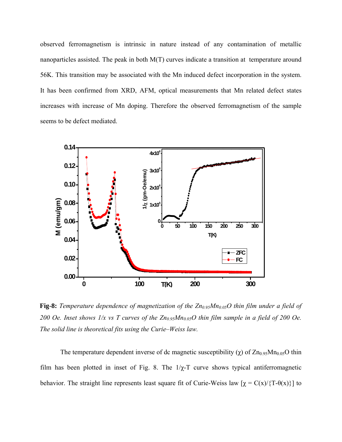observed ferromagnetism is intrinsic in nature instead of any contamination of metallic nanoparticles assisted. The peak in both M(T) curves indicate a transition at temperature around 56K. This transition may be associated with the Mn induced defect incorporation in the system. It has been confirmed from XRD, AFM, optical measurements that Mn related defect states increases with increase of Mn doping. Therefore the observed ferromagnetism of the sample seems to be defect mediated.



**Fig-8:** *Temperature dependence of magnetization of the Zn<sub>0.95</sub>Mn<sub>0.05</sub>O thin film under a field of* 200 Oe. Inset shows  $1/x$  vs T curves of the  $Zn_{0.95}Mn_{0.05}O$  thin film sample in a field of 200 Oe. *The solid line is theoretical fits using the Curie–Weiss law.* 

The temperature dependent inverse of dc magnetic susceptibility ( $\chi$ ) of  $Zn_{0.95}Mn_{0.05}O$  thin film has been plotted in inset of Fig. 8. The  $1/\chi$ -T curve shows typical antiferromagnetic behavior. The straight line represents least square fit of Curie-Weiss law  $[\chi = C(x)/{T-\theta(x)}$  to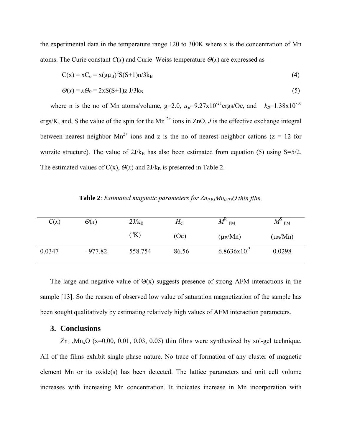the experimental data in the temperature range 120 to 300K where x is the concentration of Mn atoms. The Curie constant  $C(x)$  and Curie–Weiss temperature  $\Theta(x)$  are expressed as

$$
C(x) = xC_0 = x(g\mu_B)^2 S(S+1)n/3k_B
$$
\n(4)

$$
\Theta(x) = x\Theta_0 = 2xS(S+1)z\ J/3k_B\tag{5}
$$

where n is the no of Mn atoms/volume,  $g=2.0$ ,  $\mu_B=9.27\times10^{-21}$ ergs/Oe, and  $k_B=1.38\times10^{-16}$ ergs/K, and, S the value of the spin for the Mn<sup>2+</sup> ions in ZnO, J is the effective exchange integral between nearest neighbor  $Mn^{2+}$  ions and z is the no of nearest neighbor cations ( $z = 12$  for wurzite structure). The value of  $2J/k_B$  has also been estimated from equation (5) using S=5/2. The estimated values of  $C(x)$ ,  $\Theta(x)$  and  $2J/k_B$  is presented in Table 2.

| C(x)   | $\Theta(x)$ | $2J/k_B$     | $H_{\rm ci}$ | $M^{\kappa}$ <sub>FM</sub> | $M^{\circ}$ FM |
|--------|-------------|--------------|--------------|----------------------------|----------------|
|        |             | $\rm ^{o}K)$ | (Oe)         | $(\mu_B/Mn)$               | $(\mu_B/Mn)$   |
| 0.0347 | $-977.82$   | 558.754      | 86.56        | $6.8636x10^{-3}$           | 0.0298         |

**Table 2**: *Estimated magnetic parameters for Zn*<sub>0.95</sub>*Mn*<sub>0.05</sub>*O thin film.* 

The large and negative value of  $\Theta(x)$  suggests presence of strong AFM interactions in the sample [13]. So the reason of observed low value of saturation magnetization of the sample has been sought qualitatively by estimating relatively high values of AFM interaction parameters.

# **3. Conclusions**

 $Zn_{1-x}Mn_xO$  (x=0.00, 0.01, 0.03, 0.05) thin films were synthesized by sol-gel technique. All of the films exhibit single phase nature. No trace of formation of any cluster of magnetic element Mn or its oxide(s) has been detected. The lattice parameters and unit cell volume increases with increasing Mn concentration. It indicates increase in Mn incorporation with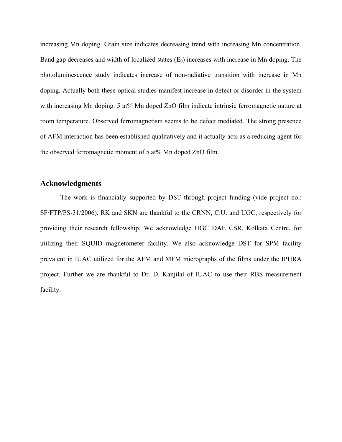increasing Mn doping. Grain size indicates decreasing trend with increasing Mn concentration. Band gap decreases and width of localized states  $(E_0)$  increases with increase in Mn doping. The photoluminescence study indicates increase of non-radiative transition with increase in Mn doping. Actually both these optical studies manifest increase in defect or disorder in the system with increasing Mn doping. 5 at% Mn doped ZnO film indicate intrinsic ferromagnetic nature at room temperature. Observed ferromagnetism seems to be defect mediated. The strong presence of AFM interaction has been established qualitatively and it actually acts as a reducing agent for the observed ferromagnetic moment of 5 at% Mn doped ZnO film.

### **Acknowledgments**

The work is financially supported by DST through project funding (vide project no.: SF/FTP/PS-31/2006). RK and SKN are thankful to the CRNN, C.U. and UGC, respectively for providing their research fellowship. We acknowledge UGC DAE CSR, Kolkata Centre, for utilizing their SQUID magnetometer facility. We also acknowledge DST for SPM facility prevalent in IUAC utilized for the AFM and MFM micrographs of the films under the IPHRA project. Further we are thankful to Dr. D. Kanjilal of IUAC to use their RBS measurement facility.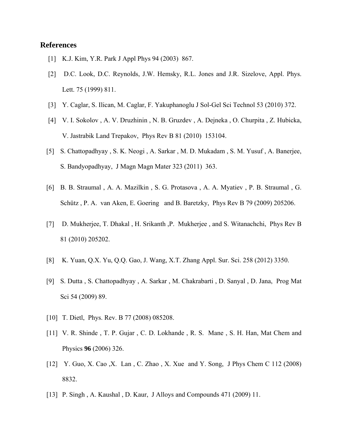# **References**

- [1] K.J. Kim, Y.R. Park J Appl Phys 94 (2003) 867.
- [2] D.C. Look, D.C. Reynolds, J.W. Hemsky, R.L. Jones and J.R. Sizelove, Appl. Phys. Lett. 75 (1999) 811.
- [3] Y. Caglar, S. Ilican, M. Caglar, F. Yakuphanoglu J Sol-Gel Sci Technol 53 (2010) 372.
- [4] V. I. Sokolov , A. V. Druzhinin , N. B. Gruzdev , A. Dejneka , O. Churpita , Z. Hubicka, V. Jastrabik Land Trepakov, Phys Rev B 81 (2010) 153104.
- [5] S. Chattopadhyay , S. K. Neogi , A. Sarkar , M. D. Mukadam , S. M. Yusuf , A. Banerjee, S. Bandyopadhyay, J Magn Magn Mater 323 (2011) 363.
- [6] B. B. Straumal , A. A. Mazilkin , S. G. Protasova , A. A. Myatiev , P. B. Straumal , G. Schütz , P. A. van Aken, E. Goering and B. Baretzky, Phys Rev B 79 (2009) 205206.
- [7] D. Mukherjee, T. Dhakal , H. Srikanth ,P. Mukherjee , and S. Witanachchi, Phys Rev B 81 (2010) 205202.
- [8] K. Yuan, Q.X. Yu, Q.Q. Gao, J. Wang, X.T. Zhang Appl. Sur. Sci. 258 (2012) 3350.
- [9] S. Dutta , S. Chattopadhyay , A. Sarkar , M. Chakrabarti , D. Sanyal , D. Jana, Prog Mat Sci 54 (2009) 89.
- [10] T. Dietl, Phys. Rev. B 77 (2008) 085208.
- [11] V. R. Shinde , T. P. Gujar , C. D. Lokhande , R. S. Mane , S. H. Han, Mat Chem and Physics **96** (2006) 326.
- [12] Y. Guo, X. Cao ,X. Lan , C. Zhao , X. Xue and Y. Song, J Phys Chem C 112 (2008) 8832.
- [13] P. Singh, A. Kaushal, D. Kaur, J Alloys and Compounds 471 (2009) 11.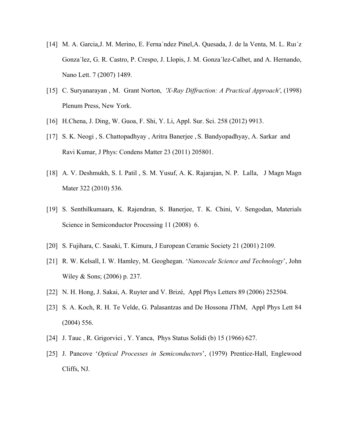- [14] M. A. Garcia,J. M. Merino, E. Ferna´ndez Pinel,A. Quesada, J. de la Venta, M. L. Ruı´z Gonza´lez, G. R. Castro, P. Crespo, J. Llopis, J. M. Gonza´lez-Calbet, and A. Hernando, Nano Lett. 7 (2007) 1489.
- [15] C. Suryanarayan , M. Grant Norton, *'X-Ray Diffraction: A Practical Approach'*, (1998) Plenum Press, New York.
- [16] H.Chena, J. Ding, W. Guoa, F. Shi, Y. Li, Appl. Sur. Sci. 258 (2012) 9913.
- [17] S. K. Neogi , S. Chattopadhyay , Aritra Banerjee , S. Bandyopadhyay, A. Sarkar and Ravi Kumar, J Phys: Condens Matter 23 (2011) 205801.
- [18] A. V. Deshmukh, S. I. Patil , S. M. Yusuf, A. K. Rajarajan, N. P. Lalla, J Magn Magn Mater 322 (2010) 536.
- [19] S. Senthilkumaara, K. Rajendran, S. Banerjee, T. K. Chini, V. Sengodan, Materials Science in Semiconductor Processing 11 (2008) 6.
- [20] S. Fujihara, C. Sasaki, T. Kimura, J European Ceramic Society 21 (2001) 2109.
- [21] R. W. Kelsall, I. W. Hamley, M. Geoghegan. '*Nanoscale Science and Technology*', John Wiley & Sons; (2006) p. 237.
- [22] N. H. Hong, J. Sakai, A. Ruyter and V. Brizé, Appl Phys Letters 89 (2006) 252504.
- [23] S. A. Koch, R. H. Te Velde, G. Palasantzas and De Hossona JThM, Appl Phys Lett 84 (2004) 556.
- [24] J. Tauc , R. Grigorvici , Y. Yanca, Phys Status Solidi (b) 15 (1966) 627.
- [25] J. Pancove '*Optical Processes in Semiconductors*', (1979) Prentice-Hall, Englewood Cliffs, NJ.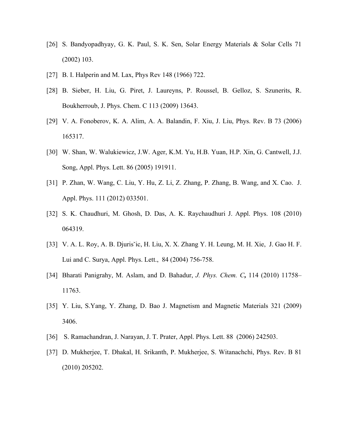- [26] S. Bandyopadhyay, G. K. Paul, S. K. Sen, Solar Energy Materials & Solar Cells 71 (2002) 103.
- [27] B. I. Halperin and M. Lax, Phys Rev 148 (1966) 722.
- [28] B. Sieber, H. Liu, G. Piret, J. Laureyns, P. Roussel, B. Gelloz, S. Szunerits, R. Boukherroub, J. Phys. Chem. C 113 (2009) 13643.
- [29] V. A. Fonoberov, K. A. Alim, A. A. Balandin, F. Xiu, J. Liu, Phys. Rev. B 73 (2006) 165317.
- [30] W. Shan, W. Walukiewicz, J.W. Ager, K.M. Yu, H.B. Yuan, H.P. Xin, G. Cantwell, J.J. Song, Appl. Phys. Lett. 86 (2005) 191911.
- [31] P. Zhan, W. Wang, C. Liu, Y. Hu, Z. Li, Z. Zhang, P. Zhang, B. Wang, and X. Cao. J. Appl. Phys. 111 (2012) 033501.
- [32] S. K. Chaudhuri, M. Ghosh, D. Das, A. K. Raychaudhuri J. Appl. Phys. 108 (2010) 064319.
- [33] V. A. L. Roy, A. B. Djuris ic, H. Liu, X. X. Zhang Y. H. Leung, M. H. Xie, J. Gao H. F. Lui and C. Surya, Appl. Phys. Lett., 84 (2004) 756-758.
- [34] Bharati Panigrahy, M. Aslam, and D. Bahadur, *J. Phys. Chem. C***,** 114 (2010) 11758– 11763.
- [35] Y. Liu, S.Yang, Y. Zhang, D. Bao J. Magnetism and Magnetic Materials 321 (2009) 3406.
- [36] S. Ramachandran, J. Narayan, J. T. Prater, Appl. Phys. Lett. 88 (2006) 242503.
- [37] D. Mukherjee, T. Dhakal, H. Srikanth, P. Mukherjee, S. Witanachchi, Phys. Rev. B 81 (2010) 205202.